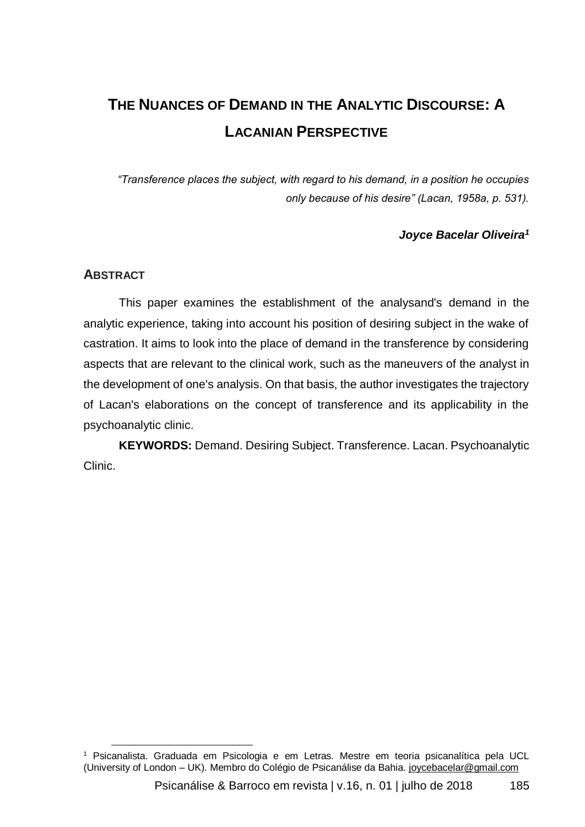# **THE NUANCES OF DEMAND IN THE ANALYTIC DISCOURSE: A LACANIAN PERSPECTIVE**

*"Transference places the subject, with regard to his demand, in a position he occupies only because of his desire" (Lacan, 1958a, p. 531).*

### *Joyce Bacelar Oliveira<sup>1</sup>*

### **ABSTRACT**

l

This paper examines the establishment of the analysand's demand in the analytic experience, taking into account his position of desiring subject in the wake of castration. It aims to look into the place of demand in the transference by considering aspects that are relevant to the clinical work, such as the maneuvers of the analyst in the development of one's analysis. On that basis, the author investigates the trajectory of Lacan's elaborations on the concept of transference and its applicability in the psychoanalytic clinic.

**KEYWORDS:** Demand. Desiring Subject. Transference. Lacan. Psychoanalytic Clinic.

<sup>&</sup>lt;sup>1</sup> Psicanalista. Graduada em Psicologia e em Letras. Mestre em teoria psicanalítica pela UCL (University of London – UK). Membro do Colégio de Psicanálise da Bahia. joycebacelar@gmail.com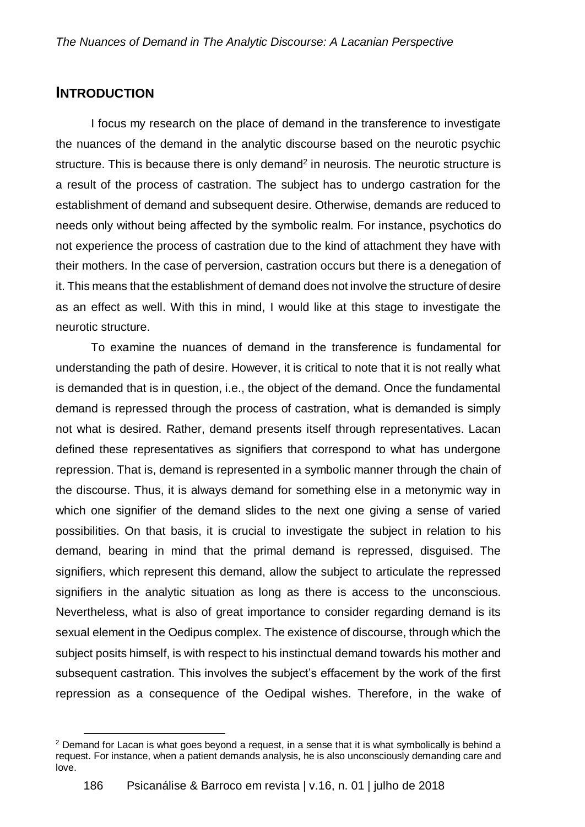# **INTRODUCTION**

I focus my research on the place of demand in the transference to investigate the nuances of the demand in the analytic discourse based on the neurotic psychic structure. This is because there is only demand<sup>2</sup> in neurosis. The neurotic structure is a result of the process of castration. The subject has to undergo castration for the establishment of demand and subsequent desire. Otherwise, demands are reduced to needs only without being affected by the symbolic realm. For instance, psychotics do not experience the process of castration due to the kind of attachment they have with their mothers. In the case of perversion, castration occurs but there is a denegation of it. This means that the establishment of demand does not involve the structure of desire as an effect as well. With this in mind, I would like at this stage to investigate the neurotic structure.

To examine the nuances of demand in the transference is fundamental for understanding the path of desire. However, it is critical to note that it is not really what is demanded that is in question, i.e., the object of the demand. Once the fundamental demand is repressed through the process of castration, what is demanded is simply not what is desired. Rather, demand presents itself through representatives. Lacan defined these representatives as signifiers that correspond to what has undergone repression. That is, demand is represented in a symbolic manner through the chain of the discourse. Thus, it is always demand for something else in a metonymic way in which one signifier of the demand slides to the next one giving a sense of varied possibilities. On that basis, it is crucial to investigate the subject in relation to his demand, bearing in mind that the primal demand is repressed, disguised. The signifiers, which represent this demand, allow the subject to articulate the repressed signifiers in the analytic situation as long as there is access to the unconscious. Nevertheless, what is also of great importance to consider regarding demand is its sexual element in the Oedipus complex. The existence of discourse, through which the subject posits himself, is with respect to his instinctual demand towards his mother and subsequent castration. This involves the subject's effacement by the work of the first repression as a consequence of the Oedipal wishes. Therefore, in the wake of

l  $2$  Demand for Lacan is what goes beyond a request, in a sense that it is what symbolically is behind a request. For instance, when a patient demands analysis, he is also unconsciously demanding care and love.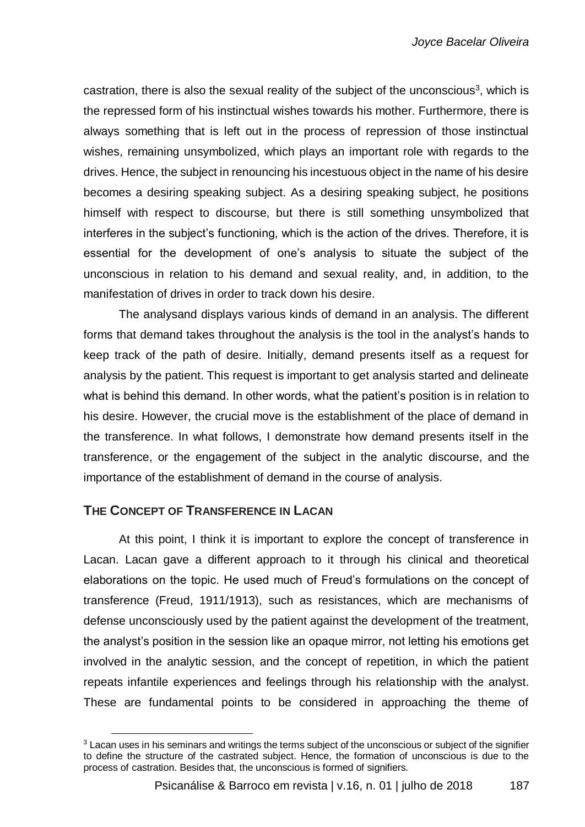castration, there is also the sexual reality of the subject of the unconscious<sup>3</sup>, which is the repressed form of his instinctual wishes towards his mother. Furthermore, there is always something that is left out in the process of repression of those instinctual wishes, remaining unsymbolized, which plays an important role with regards to the drives. Hence, the subject in renouncing his incestuous object in the name of his desire becomes a desiring speaking subject. As a desiring speaking subject, he positions himself with respect to discourse, but there is still something unsymbolized that interferes in the subject's functioning, which is the action of the drives. Therefore, it is essential for the development of one's analysis to situate the subject of the unconscious in relation to his demand and sexual reality, and, in addition, to the manifestation of drives in order to track down his desire.

The analysand displays various kinds of demand in an analysis. The different forms that demand takes throughout the analysis is the tool in the analyst's hands to keep track of the path of desire. Initially, demand presents itself as a request for analysis by the patient. This request is important to get analysis started and delineate what is behind this demand. In other words, what the patient's position is in relation to his desire. However, the crucial move is the establishment of the place of demand in the transference. In what follows, I demonstrate how demand presents itself in the transference, or the engagement of the subject in the analytic discourse, and the importance of the establishment of demand in the course of analysis.

# **THE CONCEPT OF TRANSFERENCE IN LACAN**

At this point, I think it is important to explore the concept of transference in Lacan. Lacan gave a different approach to it through his clinical and theoretical elaborations on the topic. He used much of Freud's formulations on the concept of transference (Freud, 1911/1913), such as resistances, which are mechanisms of defense unconsciously used by the patient against the development of the treatment, the analyst's position in the session like an opaque mirror, not letting his emotions get involved in the analytic session, and the concept of repetition, in which the patient repeats infantile experiences and feelings through his relationship with the analyst. These are fundamental points to be considered in approaching the theme of

l  $3$  Lacan uses in his seminars and writings the terms subject of the unconscious or subject of the signifier to define the structure of the castrated subject. Hence, the formation of unconscious is due to the process of castration. Besides that, the unconscious is formed of signifiers.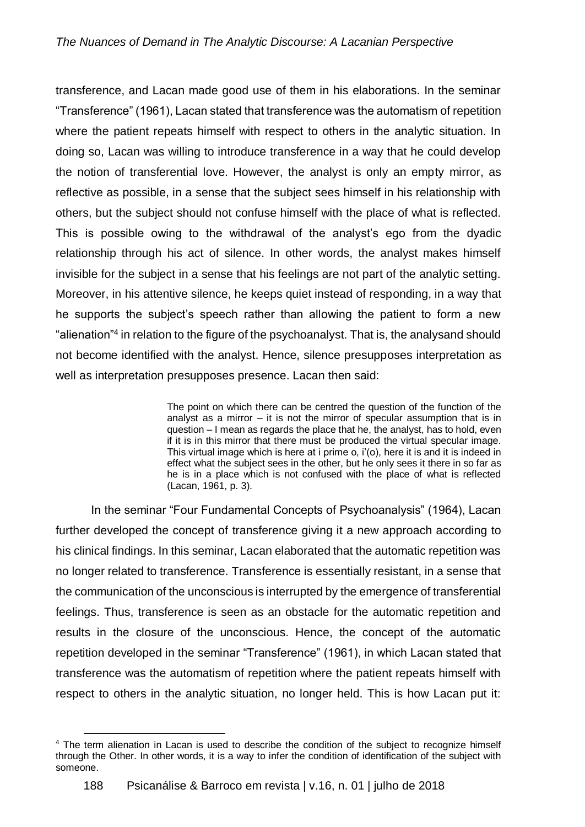transference, and Lacan made good use of them in his elaborations. In the seminar "Transference" (1961), Lacan stated that transference was the automatism of repetition where the patient repeats himself with respect to others in the analytic situation. In doing so, Lacan was willing to introduce transference in a way that he could develop the notion of transferential love. However, the analyst is only an empty mirror, as reflective as possible, in a sense that the subject sees himself in his relationship with others, but the subject should not confuse himself with the place of what is reflected. This is possible owing to the withdrawal of the analyst's ego from the dyadic relationship through his act of silence. In other words, the analyst makes himself invisible for the subject in a sense that his feelings are not part of the analytic setting. Moreover, in his attentive silence, he keeps quiet instead of responding, in a way that he supports the subject's speech rather than allowing the patient to form a new "alienation"<sup>4</sup> in relation to the figure of the psychoanalyst. That is, the analysand should not become identified with the analyst. Hence, silence presupposes interpretation as well as interpretation presupposes presence. Lacan then said:

> The point on which there can be centred the question of the function of the analyst as a mirror – it is not the mirror of specular assumption that is in question – I mean as regards the place that he, the analyst, has to hold, even if it is in this mirror that there must be produced the virtual specular image. This virtual image which is here at i prime o, i'(o), here it is and it is indeed in effect what the subject sees in the other, but he only sees it there in so far as he is in a place which is not confused with the place of what is reflected (Lacan, 1961, p. 3).

In the seminar "Four Fundamental Concepts of Psychoanalysis" (1964), Lacan further developed the concept of transference giving it a new approach according to his clinical findings. In this seminar, Lacan elaborated that the automatic repetition was no longer related to transference. Transference is essentially resistant, in a sense that the communication of the unconscious is interrupted by the emergence of transferential feelings. Thus, transference is seen as an obstacle for the automatic repetition and results in the closure of the unconscious. Hence, the concept of the automatic repetition developed in the seminar "Transference" (1961), in which Lacan stated that transference was the automatism of repetition where the patient repeats himself with respect to others in the analytic situation, no longer held. This is how Lacan put it:

l <sup>4</sup> The term alienation in Lacan is used to describe the condition of the subject to recognize himself through the Other. In other words, it is a way to infer the condition of identification of the subject with someone.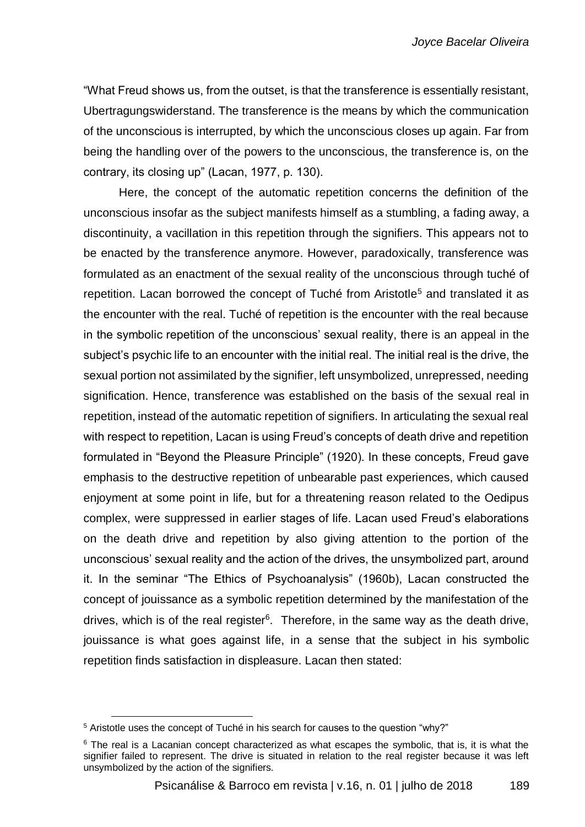"What Freud shows us, from the outset, is that the transference is essentially resistant, Ubertragungswiderstand. The transference is the means by which the communication of the unconscious is interrupted, by which the unconscious closes up again. Far from being the handling over of the powers to the unconscious, the transference is, on the contrary, its closing up" (Lacan, 1977, p. 130).

Here, the concept of the automatic repetition concerns the definition of the unconscious insofar as the subject manifests himself as a stumbling, a fading away, a discontinuity, a vacillation in this repetition through the signifiers. This appears not to be enacted by the transference anymore. However, paradoxically, transference was formulated as an enactment of the sexual reality of the unconscious through tuché of repetition. Lacan borrowed the concept of Tuché from Aristotle<sup>5</sup> and translated it as the encounter with the real. Tuché of repetition is the encounter with the real because in the symbolic repetition of the unconscious' sexual reality, there is an appeal in the subject's psychic life to an encounter with the initial real. The initial real is the drive, the sexual portion not assimilated by the signifier, left unsymbolized, unrepressed, needing signification. Hence, transference was established on the basis of the sexual real in repetition, instead of the automatic repetition of signifiers. In articulating the sexual real with respect to repetition, Lacan is using Freud's concepts of death drive and repetition formulated in "Beyond the Pleasure Principle" (1920). In these concepts, Freud gave emphasis to the destructive repetition of unbearable past experiences, which caused enjoyment at some point in life, but for a threatening reason related to the Oedipus complex, were suppressed in earlier stages of life. Lacan used Freud's elaborations on the death drive and repetition by also giving attention to the portion of the unconscious' sexual reality and the action of the drives, the unsymbolized part, around it. In the seminar "The Ethics of Psychoanalysis" (1960b), Lacan constructed the concept of jouissance as a symbolic repetition determined by the manifestation of the drives, which is of the real register<sup>6</sup>. Therefore, in the same way as the death drive, jouissance is what goes against life, in a sense that the subject in his symbolic repetition finds satisfaction in displeasure. Lacan then stated:

 $\overline{a}$ 

<sup>&</sup>lt;sup>5</sup> Aristotle uses the concept of Tuché in his search for causes to the question "why?"

 $6$  The real is a Lacanian concept characterized as what escapes the symbolic, that is, it is what the signifier failed to represent. The drive is situated in relation to the real register because it was left unsymbolized by the action of the signifiers.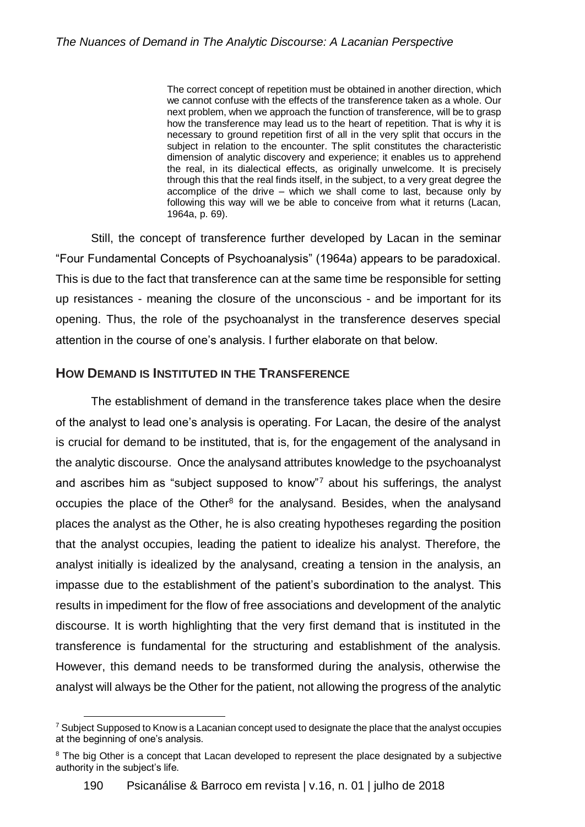The correct concept of repetition must be obtained in another direction, which we cannot confuse with the effects of the transference taken as a whole. Our next problem, when we approach the function of transference, will be to grasp how the transference may lead us to the heart of repetition. That is why it is necessary to ground repetition first of all in the very split that occurs in the subject in relation to the encounter. The split constitutes the characteristic dimension of analytic discovery and experience; it enables us to apprehend the real, in its dialectical effects, as originally unwelcome. It is precisely through this that the real finds itself, in the subject, to a very great degree the accomplice of the drive – which we shall come to last, because only by following this way will we be able to conceive from what it returns (Lacan, 1964a, p. 69).

Still, the concept of transference further developed by Lacan in the seminar "Four Fundamental Concepts of Psychoanalysis" (1964a) appears to be paradoxical. This is due to the fact that transference can at the same time be responsible for setting up resistances - meaning the closure of the unconscious - and be important for its opening. Thus, the role of the psychoanalyst in the transference deserves special attention in the course of one's analysis. I further elaborate on that below.

# **HOW DEMAND IS INSTITUTED IN THE TRANSFERENCE**

 $\overline{a}$ 

The establishment of demand in the transference takes place when the desire of the analyst to lead one's analysis is operating. For Lacan, the desire of the analyst is crucial for demand to be instituted, that is, for the engagement of the analysand in the analytic discourse. Once the analysand attributes knowledge to the psychoanalyst and ascribes him as "subject supposed to know"<sup>7</sup> about his sufferings, the analyst occupies the place of the Other<sup>8</sup> for the analysand. Besides, when the analysand places the analyst as the Other, he is also creating hypotheses regarding the position that the analyst occupies, leading the patient to idealize his analyst. Therefore, the analyst initially is idealized by the analysand, creating a tension in the analysis, an impasse due to the establishment of the patient's subordination to the analyst. This results in impediment for the flow of free associations and development of the analytic discourse. It is worth highlighting that the very first demand that is instituted in the transference is fundamental for the structuring and establishment of the analysis. However, this demand needs to be transformed during the analysis, otherwise the analyst will always be the Other for the patient, not allowing the progress of the analytic

 $7$  Subject Supposed to Know is a Lacanian concept used to designate the place that the analyst occupies at the beginning of one's analysis.

<sup>&</sup>lt;sup>8</sup> The big Other is a concept that Lacan developed to represent the place designated by a subjective authority in the subject's life.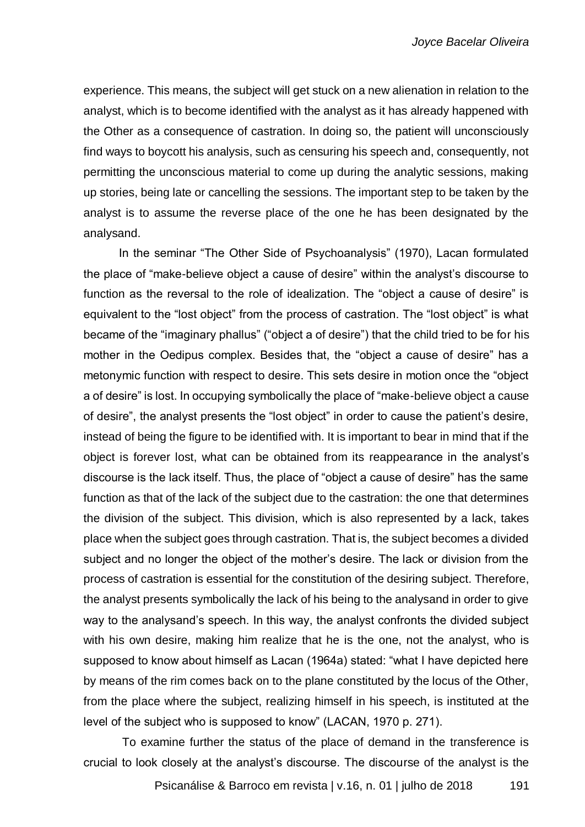experience. This means, the subject will get stuck on a new alienation in relation to the analyst, which is to become identified with the analyst as it has already happened with the Other as a consequence of castration. In doing so, the patient will unconsciously find ways to boycott his analysis, such as censuring his speech and, consequently, not permitting the unconscious material to come up during the analytic sessions, making up stories, being late or cancelling the sessions. The important step to be taken by the analyst is to assume the reverse place of the one he has been designated by the analysand.

In the seminar "The Other Side of Psychoanalysis" (1970), Lacan formulated the place of "make-believe object a cause of desire" within the analyst's discourse to function as the reversal to the role of idealization. The "object a cause of desire" is equivalent to the "lost object" from the process of castration. The "lost object" is what became of the "imaginary phallus" ("object a of desire") that the child tried to be for his mother in the Oedipus complex. Besides that, the "object a cause of desire" has a metonymic function with respect to desire. This sets desire in motion once the "object a of desire" is lost. In occupying symbolically the place of "make-believe object a cause of desire", the analyst presents the "lost object" in order to cause the patient's desire, instead of being the figure to be identified with. It is important to bear in mind that if the object is forever lost, what can be obtained from its reappearance in the analyst's discourse is the lack itself. Thus, the place of "object a cause of desire" has the same function as that of the lack of the subject due to the castration: the one that determines the division of the subject. This division, which is also represented by a lack, takes place when the subject goes through castration. That is, the subject becomes a divided subject and no longer the object of the mother's desire. The lack or division from the process of castration is essential for the constitution of the desiring subject. Therefore, the analyst presents symbolically the lack of his being to the analysand in order to give way to the analysand's speech. In this way, the analyst confronts the divided subject with his own desire, making him realize that he is the one, not the analyst, who is supposed to know about himself as Lacan (1964a) stated: "what I have depicted here by means of the rim comes back on to the plane constituted by the locus of the Other, from the place where the subject, realizing himself in his speech, is instituted at the level of the subject who is supposed to know" (LACAN, 1970 p. 271).

To examine further the status of the place of demand in the transference is crucial to look closely at the analyst's discourse. The discourse of the analyst is the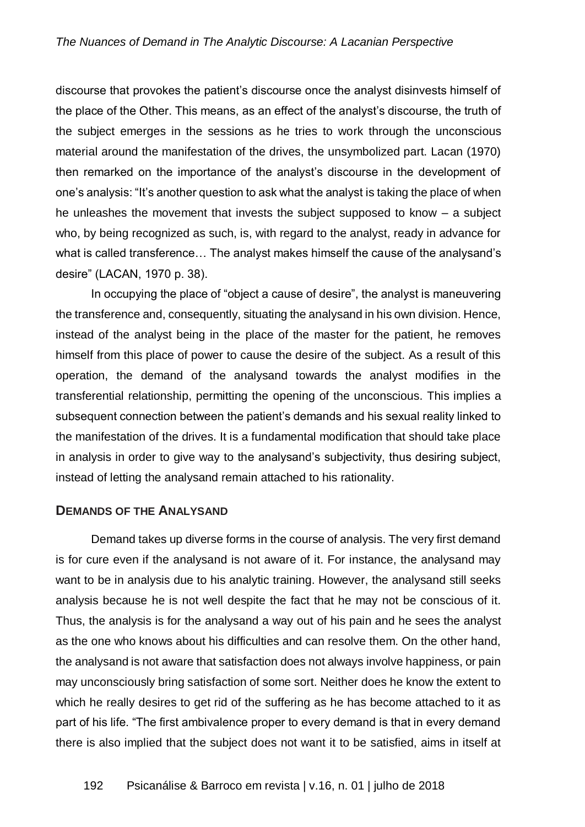discourse that provokes the patient's discourse once the analyst disinvests himself of the place of the Other. This means, as an effect of the analyst's discourse, the truth of the subject emerges in the sessions as he tries to work through the unconscious material around the manifestation of the drives, the unsymbolized part. Lacan (1970) then remarked on the importance of the analyst's discourse in the development of one's analysis: "It's another question to ask what the analyst is taking the place of when he unleashes the movement that invests the subject supposed to know – a subject who, by being recognized as such, is, with regard to the analyst, ready in advance for what is called transference… The analyst makes himself the cause of the analysand's desire" (LACAN, 1970 p. 38).

In occupying the place of "object a cause of desire", the analyst is maneuvering the transference and, consequently, situating the analysand in his own division. Hence, instead of the analyst being in the place of the master for the patient, he removes himself from this place of power to cause the desire of the subject. As a result of this operation, the demand of the analysand towards the analyst modifies in the transferential relationship, permitting the opening of the unconscious. This implies a subsequent connection between the patient's demands and his sexual reality linked to the manifestation of the drives. It is a fundamental modification that should take place in analysis in order to give way to the analysand's subjectivity, thus desiring subject, instead of letting the analysand remain attached to his rationality.

#### **DEMANDS OF THE ANALYSAND**

Demand takes up diverse forms in the course of analysis. The very first demand is for cure even if the analysand is not aware of it. For instance, the analysand may want to be in analysis due to his analytic training. However, the analysand still seeks analysis because he is not well despite the fact that he may not be conscious of it. Thus, the analysis is for the analysand a way out of his pain and he sees the analyst as the one who knows about his difficulties and can resolve them. On the other hand, the analysand is not aware that satisfaction does not always involve happiness, or pain may unconsciously bring satisfaction of some sort. Neither does he know the extent to which he really desires to get rid of the suffering as he has become attached to it as part of his life. "The first ambivalence proper to every demand is that in every demand there is also implied that the subject does not want it to be satisfied, aims in itself at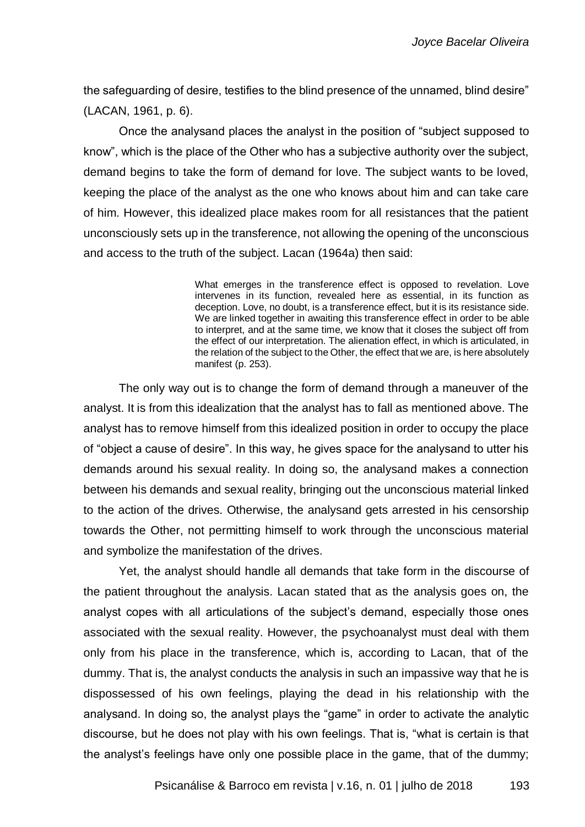the safeguarding of desire, testifies to the blind presence of the unnamed, blind desire" (LACAN, 1961, p. 6).

Once the analysand places the analyst in the position of "subject supposed to know", which is the place of the Other who has a subjective authority over the subject, demand begins to take the form of demand for love. The subject wants to be loved, keeping the place of the analyst as the one who knows about him and can take care of him. However, this idealized place makes room for all resistances that the patient unconsciously sets up in the transference, not allowing the opening of the unconscious and access to the truth of the subject. Lacan (1964a) then said:

> What emerges in the transference effect is opposed to revelation. Love intervenes in its function, revealed here as essential, in its function as deception. Love, no doubt, is a transference effect, but it is its resistance side. We are linked together in awaiting this transference effect in order to be able to interpret, and at the same time, we know that it closes the subject off from the effect of our interpretation. The alienation effect, in which is articulated, in the relation of the subject to the Other, the effect that we are, is here absolutely manifest (p. 253).

The only way out is to change the form of demand through a maneuver of the analyst. It is from this idealization that the analyst has to fall as mentioned above. The analyst has to remove himself from this idealized position in order to occupy the place of "object a cause of desire". In this way, he gives space for the analysand to utter his demands around his sexual reality. In doing so, the analysand makes a connection between his demands and sexual reality, bringing out the unconscious material linked to the action of the drives. Otherwise, the analysand gets arrested in his censorship towards the Other, not permitting himself to work through the unconscious material and symbolize the manifestation of the drives.

Yet, the analyst should handle all demands that take form in the discourse of the patient throughout the analysis. Lacan stated that as the analysis goes on, the analyst copes with all articulations of the subject's demand, especially those ones associated with the sexual reality. However, the psychoanalyst must deal with them only from his place in the transference, which is, according to Lacan, that of the dummy. That is, the analyst conducts the analysis in such an impassive way that he is dispossessed of his own feelings, playing the dead in his relationship with the analysand. In doing so, the analyst plays the "game" in order to activate the analytic discourse, but he does not play with his own feelings. That is, "what is certain is that the analyst's feelings have only one possible place in the game, that of the dummy;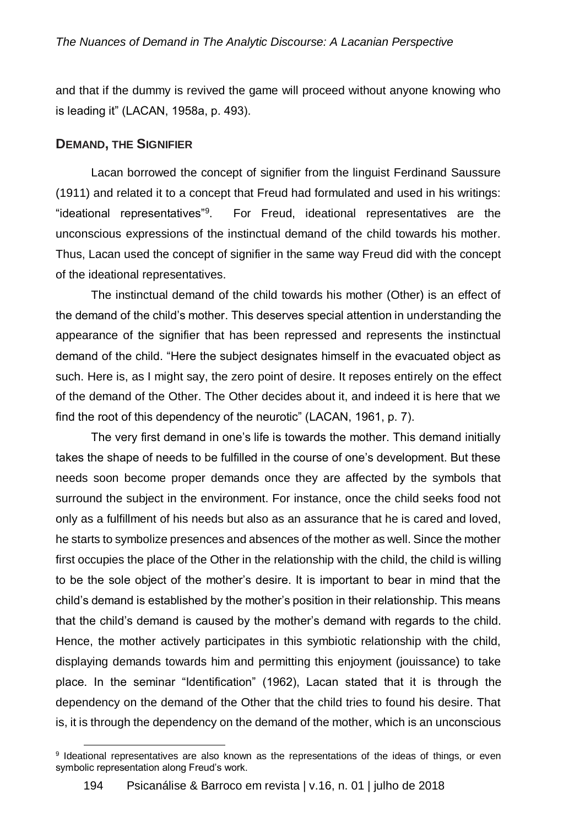and that if the dummy is revived the game will proceed without anyone knowing who is leading it" (LACAN, 1958a, p. 493).

#### **DEMAND, THE SIGNIFIER**

l

Lacan borrowed the concept of signifier from the linguist Ferdinand Saussure (1911) and related it to a concept that Freud had formulated and used in his writings: "ideational representatives"<sup>9</sup> . For Freud, ideational representatives are the unconscious expressions of the instinctual demand of the child towards his mother. Thus, Lacan used the concept of signifier in the same way Freud did with the concept of the ideational representatives.

The instinctual demand of the child towards his mother (Other) is an effect of the demand of the child's mother. This deserves special attention in understanding the appearance of the signifier that has been repressed and represents the instinctual demand of the child. "Here the subject designates himself in the evacuated object as such. Here is, as I might say, the zero point of desire. It reposes entirely on the effect of the demand of the Other. The Other decides about it, and indeed it is here that we find the root of this dependency of the neurotic" (LACAN, 1961, p. 7).

The very first demand in one's life is towards the mother. This demand initially takes the shape of needs to be fulfilled in the course of one's development. But these needs soon become proper demands once they are affected by the symbols that surround the subject in the environment. For instance, once the child seeks food not only as a fulfillment of his needs but also as an assurance that he is cared and loved, he starts to symbolize presences and absences of the mother as well. Since the mother first occupies the place of the Other in the relationship with the child, the child is willing to be the sole object of the mother's desire. It is important to bear in mind that the child's demand is established by the mother's position in their relationship. This means that the child's demand is caused by the mother's demand with regards to the child. Hence, the mother actively participates in this symbiotic relationship with the child, displaying demands towards him and permitting this enjoyment (jouissance) to take place. In the seminar "Identification" (1962), Lacan stated that it is through the dependency on the demand of the Other that the child tries to found his desire. That is, it is through the dependency on the demand of the mother, which is an unconscious

<sup>&</sup>lt;sup>9</sup> Ideational representatives are also known as the representations of the ideas of things, or even symbolic representation along Freud's work.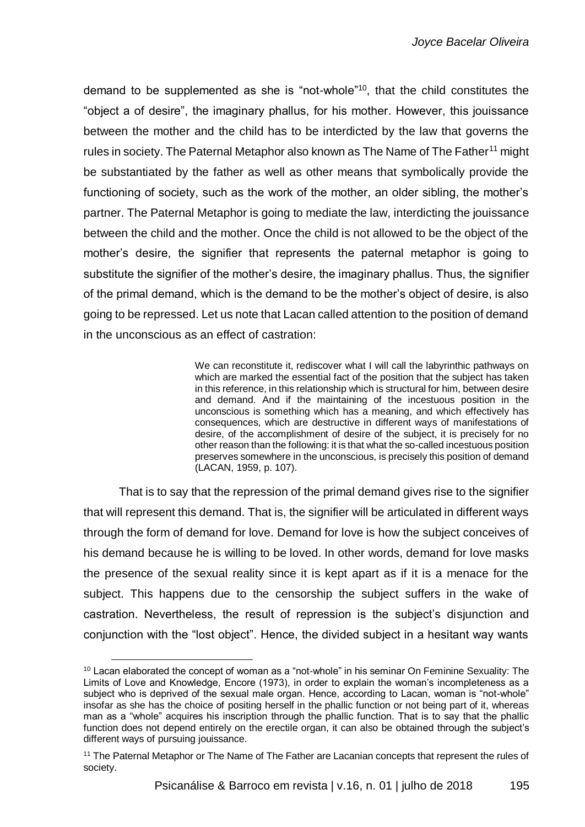demand to be supplemented as she is "not-whole"<sup>10</sup>, that the child constitutes the "object a of desire", the imaginary phallus, for his mother. However, this jouissance between the mother and the child has to be interdicted by the law that governs the rules in society. The Paternal Metaphor also known as The Name of The Father<sup>11</sup> might be substantiated by the father as well as other means that symbolically provide the functioning of society, such as the work of the mother, an older sibling, the mother's partner. The Paternal Metaphor is going to mediate the law, interdicting the jouissance between the child and the mother. Once the child is not allowed to be the object of the mother's desire, the signifier that represents the paternal metaphor is going to substitute the signifier of the mother's desire, the imaginary phallus. Thus, the signifier of the primal demand, which is the demand to be the mother's object of desire, is also going to be repressed. Let us note that Lacan called attention to the position of demand in the unconscious as an effect of castration:

> We can reconstitute it, rediscover what I will call the labyrinthic pathways on which are marked the essential fact of the position that the subject has taken in this reference, in this relationship which is structural for him, between desire and demand. And if the maintaining of the incestuous position in the unconscious is something which has a meaning, and which effectively has consequences, which are destructive in different ways of manifestations of desire, of the accomplishment of desire of the subject, it is precisely for no other reason than the following: it is that what the so-called incestuous position preserves somewhere in the unconscious, is precisely this position of demand (LACAN, 1959, p. 107).

That is to say that the repression of the primal demand gives rise to the signifier that will represent this demand. That is, the signifier will be articulated in different ways through the form of demand for love. Demand for love is how the subject conceives of his demand because he is willing to be loved. In other words, demand for love masks the presence of the sexual reality since it is kept apart as if it is a menace for the subject. This happens due to the censorship the subject suffers in the wake of castration. Nevertheless, the result of repression is the subject's disjunction and conjunction with the "lost object". Hence, the divided subject in a hesitant way wants

l

 $10$  Lacan elaborated the concept of woman as a "not-whole" in his seminar On Feminine Sexuality: The Limits of Love and Knowledge, Encore (1973), in order to explain the woman's incompleteness as a subject who is deprived of the sexual male organ. Hence, according to Lacan, woman is "not-whole" insofar as she has the choice of positing herself in the phallic function or not being part of it, whereas man as a "whole" acquires his inscription through the phallic function. That is to say that the phallic function does not depend entirely on the erectile organ, it can also be obtained through the subject's different ways of pursuing jouissance.

<sup>&</sup>lt;sup>11</sup> The Paternal Metaphor or The Name of The Father are Lacanian concepts that represent the rules of society.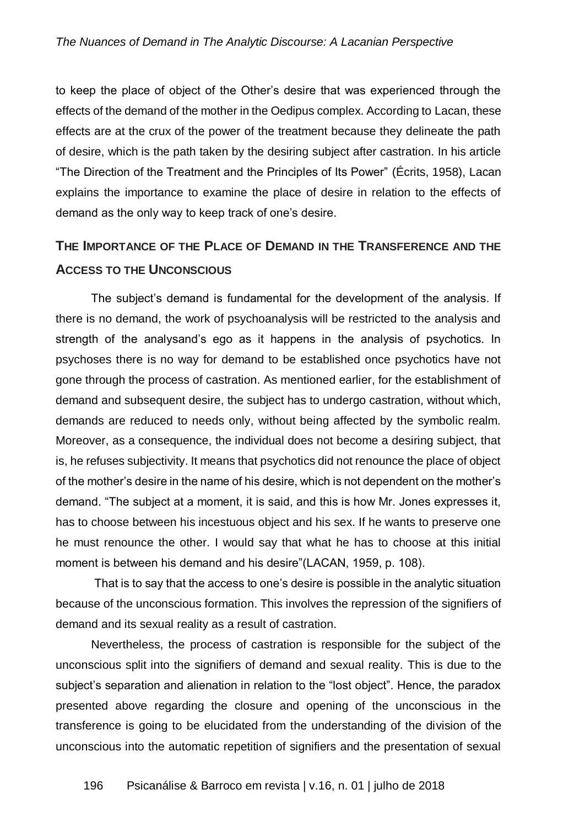to keep the place of object of the Other's desire that was experienced through the effects of the demand of the mother in the Oedipus complex. According to Lacan, these effects are at the crux of the power of the treatment because they delineate the path of desire, which is the path taken by the desiring subject after castration. In his article "The Direction of the Treatment and the Principles of Its Power" (Écrits, 1958), Lacan explains the importance to examine the place of desire in relation to the effects of demand as the only way to keep track of one's desire.

# **THE IMPORTANCE OF THE PLACE OF DEMAND IN THE TRANSFERENCE AND THE ACCESS TO THE UNCONSCIOUS**

The subject's demand is fundamental for the development of the analysis. If there is no demand, the work of psychoanalysis will be restricted to the analysis and strength of the analysand's ego as it happens in the analysis of psychotics. In psychoses there is no way for demand to be established once psychotics have not gone through the process of castration. As mentioned earlier, for the establishment of demand and subsequent desire, the subject has to undergo castration, without which, demands are reduced to needs only, without being affected by the symbolic realm. Moreover, as a consequence, the individual does not become a desiring subject, that is, he refuses subjectivity. It means that psychotics did not renounce the place of object of the mother's desire in the name of his desire, which is not dependent on the mother's demand. "The subject at a moment, it is said, and this is how Mr. Jones expresses it, has to choose between his incestuous object and his sex. If he wants to preserve one he must renounce the other. I would say that what he has to choose at this initial moment is between his demand and his desire"(LACAN, 1959, p. 108).

That is to say that the access to one's desire is possible in the analytic situation because of the unconscious formation. This involves the repression of the signifiers of demand and its sexual reality as a result of castration.

Nevertheless, the process of castration is responsible for the subject of the unconscious split into the signifiers of demand and sexual reality. This is due to the subject's separation and alienation in relation to the "lost object". Hence, the paradox presented above regarding the closure and opening of the unconscious in the transference is going to be elucidated from the understanding of the division of the unconscious into the automatic repetition of signifiers and the presentation of sexual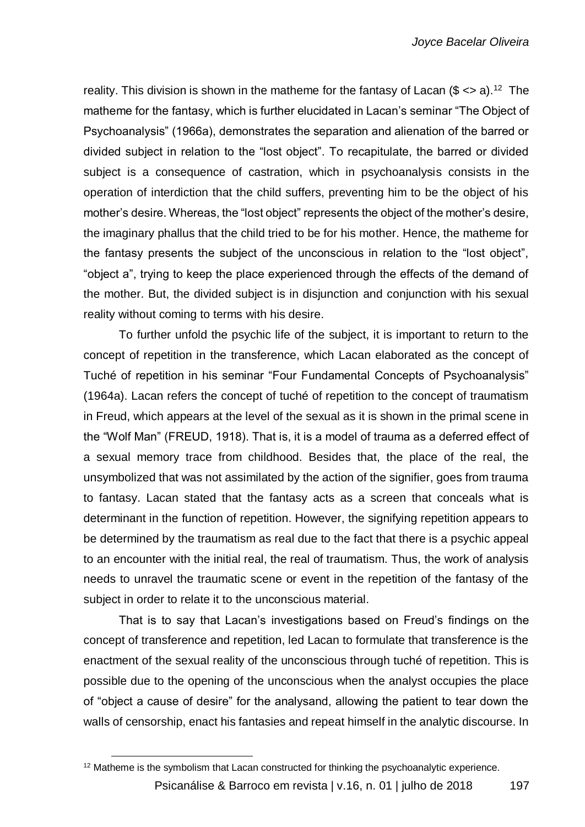reality. This division is shown in the matheme for the fantasy of Lacan  $(\$ \ll a)$ .<sup>12</sup> The matheme for the fantasy, which is further elucidated in Lacan's seminar "The Object of Psychoanalysis" (1966a), demonstrates the separation and alienation of the barred or divided subject in relation to the "lost object". To recapitulate, the barred or divided subject is a consequence of castration, which in psychoanalysis consists in the operation of interdiction that the child suffers, preventing him to be the object of his mother's desire. Whereas, the "lost object" represents the object of the mother's desire, the imaginary phallus that the child tried to be for his mother. Hence, the matheme for the fantasy presents the subject of the unconscious in relation to the "lost object", "object a", trying to keep the place experienced through the effects of the demand of the mother. But, the divided subject is in disjunction and conjunction with his sexual reality without coming to terms with his desire.

To further unfold the psychic life of the subject, it is important to return to the concept of repetition in the transference, which Lacan elaborated as the concept of Tuché of repetition in his seminar "Four Fundamental Concepts of Psychoanalysis" (1964a). Lacan refers the concept of tuché of repetition to the concept of traumatism in Freud, which appears at the level of the sexual as it is shown in the primal scene in the "Wolf Man" (FREUD, 1918). That is, it is a model of trauma as a deferred effect of a sexual memory trace from childhood. Besides that, the place of the real, the unsymbolized that was not assimilated by the action of the signifier, goes from trauma to fantasy. Lacan stated that the fantasy acts as a screen that conceals what is determinant in the function of repetition. However, the signifying repetition appears to be determined by the traumatism as real due to the fact that there is a psychic appeal to an encounter with the initial real, the real of traumatism. Thus, the work of analysis needs to unravel the traumatic scene or event in the repetition of the fantasy of the subject in order to relate it to the unconscious material.

That is to say that Lacan's investigations based on Freud's findings on the concept of transference and repetition, led Lacan to formulate that transference is the enactment of the sexual reality of the unconscious through tuché of repetition. This is possible due to the opening of the unconscious when the analyst occupies the place of "object a cause of desire" for the analysand, allowing the patient to tear down the walls of censorship, enact his fantasies and repeat himself in the analytic discourse. In

l

Psicanálise & Barroco em revista | v.16, n. 01 | julho de 2018 197  $12$  Matheme is the symbolism that Lacan constructed for thinking the psychoanalytic experience.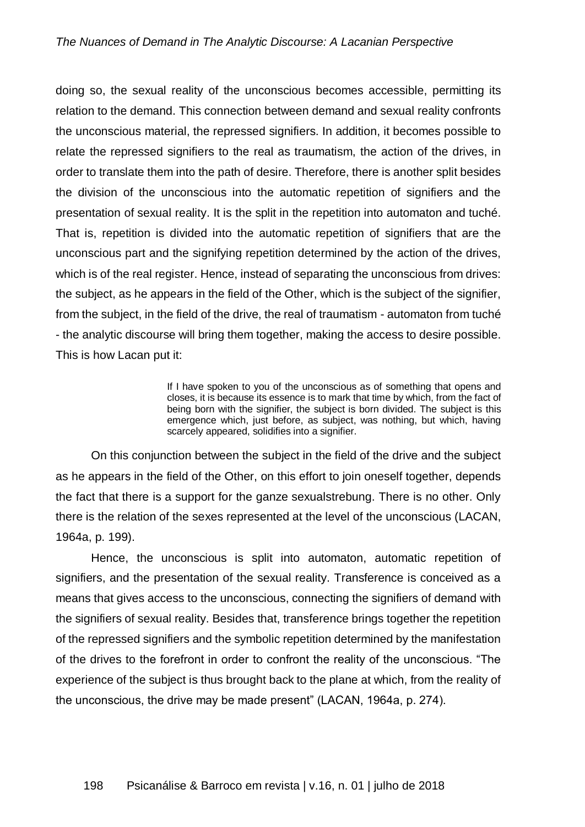doing so, the sexual reality of the unconscious becomes accessible, permitting its relation to the demand. This connection between demand and sexual reality confronts the unconscious material, the repressed signifiers. In addition, it becomes possible to relate the repressed signifiers to the real as traumatism, the action of the drives, in order to translate them into the path of desire. Therefore, there is another split besides the division of the unconscious into the automatic repetition of signifiers and the presentation of sexual reality. It is the split in the repetition into automaton and tuché. That is, repetition is divided into the automatic repetition of signifiers that are the unconscious part and the signifying repetition determined by the action of the drives, which is of the real register. Hence, instead of separating the unconscious from drives: the subject, as he appears in the field of the Other, which is the subject of the signifier, from the subject, in the field of the drive, the real of traumatism - automaton from tuché - the analytic discourse will bring them together, making the access to desire possible. This is how Lacan put it:

> If I have spoken to you of the unconscious as of something that opens and closes, it is because its essence is to mark that time by which, from the fact of being born with the signifier, the subject is born divided. The subject is this emergence which, just before, as subject, was nothing, but which, having scarcely appeared, solidifies into a signifier.

On this conjunction between the subject in the field of the drive and the subject as he appears in the field of the Other, on this effort to join oneself together, depends the fact that there is a support for the ganze sexualstrebung. There is no other. Only there is the relation of the sexes represented at the level of the unconscious (LACAN, 1964a, p. 199).

Hence, the unconscious is split into automaton, automatic repetition of signifiers, and the presentation of the sexual reality. Transference is conceived as a means that gives access to the unconscious, connecting the signifiers of demand with the signifiers of sexual reality. Besides that, transference brings together the repetition of the repressed signifiers and the symbolic repetition determined by the manifestation of the drives to the forefront in order to confront the reality of the unconscious. "The experience of the subject is thus brought back to the plane at which, from the reality of the unconscious, the drive may be made present" (LACAN, 1964a, p. 274).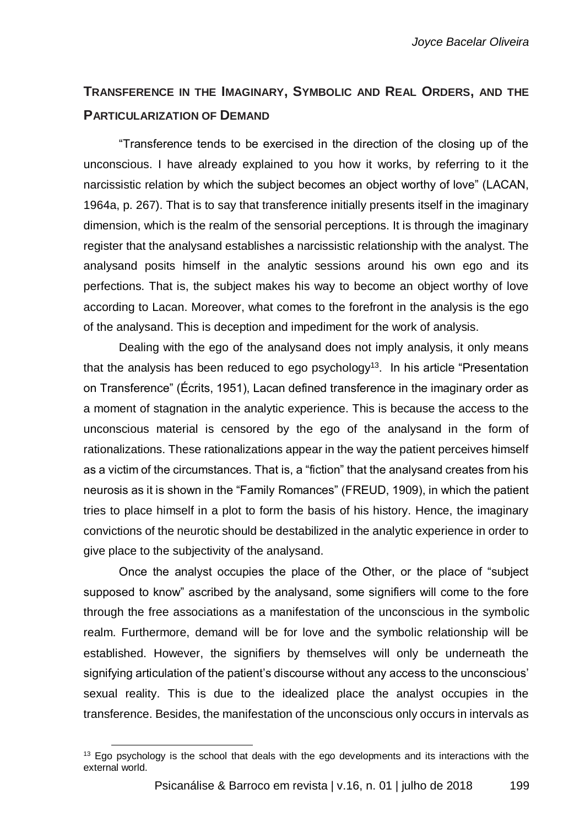# **TRANSFERENCE IN THE IMAGINARY, SYMBOLIC AND REAL ORDERS, AND THE PARTICULARIZATION OF DEMAND**

"Transference tends to be exercised in the direction of the closing up of the unconscious. I have already explained to you how it works, by referring to it the narcissistic relation by which the subject becomes an object worthy of love" (LACAN, 1964a, p. 267). That is to say that transference initially presents itself in the imaginary dimension, which is the realm of the sensorial perceptions. It is through the imaginary register that the analysand establishes a narcissistic relationship with the analyst. The analysand posits himself in the analytic sessions around his own ego and its perfections. That is, the subject makes his way to become an object worthy of love according to Lacan. Moreover, what comes to the forefront in the analysis is the ego of the analysand. This is deception and impediment for the work of analysis.

Dealing with the ego of the analysand does not imply analysis, it only means that the analysis has been reduced to ego psychology<sup>13</sup>. In his article "Presentation" on Transference" (Écrits, 1951), Lacan defined transference in the imaginary order as a moment of stagnation in the analytic experience. This is because the access to the unconscious material is censored by the ego of the analysand in the form of rationalizations. These rationalizations appear in the way the patient perceives himself as a victim of the circumstances. That is, a "fiction" that the analysand creates from his neurosis as it is shown in the "Family Romances" (FREUD, 1909), in which the patient tries to place himself in a plot to form the basis of his history. Hence, the imaginary convictions of the neurotic should be destabilized in the analytic experience in order to give place to the subjectivity of the analysand.

Once the analyst occupies the place of the Other, or the place of "subject supposed to know" ascribed by the analysand, some signifiers will come to the fore through the free associations as a manifestation of the unconscious in the symbolic realm. Furthermore, demand will be for love and the symbolic relationship will be established. However, the signifiers by themselves will only be underneath the signifying articulation of the patient's discourse without any access to the unconscious' sexual reality. This is due to the idealized place the analyst occupies in the transference. Besides, the manifestation of the unconscious only occurs in intervals as

l

 $13$  Ego psychology is the school that deals with the ego developments and its interactions with the external world.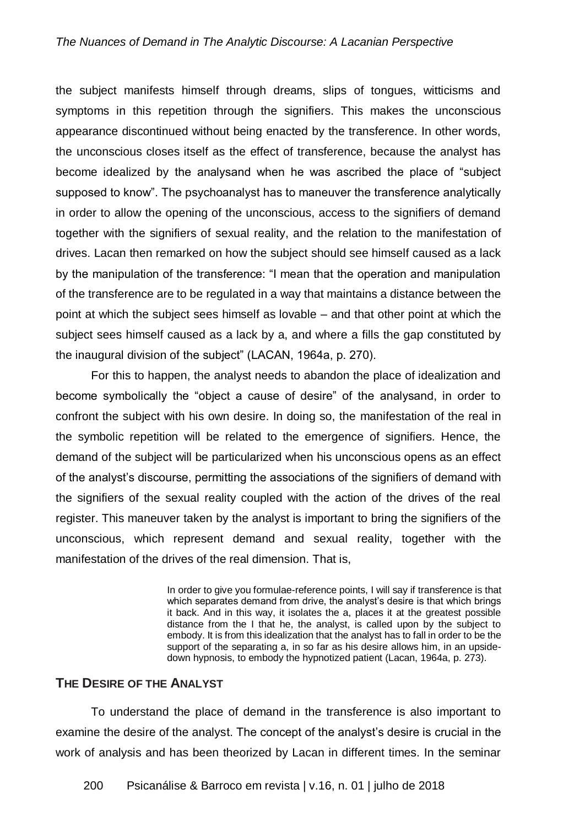#### *The Nuances of Demand in The Analytic Discourse: A Lacanian Perspective*

the subject manifests himself through dreams, slips of tongues, witticisms and symptoms in this repetition through the signifiers. This makes the unconscious appearance discontinued without being enacted by the transference. In other words, the unconscious closes itself as the effect of transference, because the analyst has become idealized by the analysand when he was ascribed the place of "subject supposed to know". The psychoanalyst has to maneuver the transference analytically in order to allow the opening of the unconscious, access to the signifiers of demand together with the signifiers of sexual reality, and the relation to the manifestation of drives. Lacan then remarked on how the subject should see himself caused as a lack by the manipulation of the transference: "I mean that the operation and manipulation of the transference are to be regulated in a way that maintains a distance between the point at which the subject sees himself as lovable – and that other point at which the subject sees himself caused as a lack by a, and where a fills the gap constituted by the inaugural division of the subject" (LACAN, 1964a, p. 270).

For this to happen, the analyst needs to abandon the place of idealization and become symbolically the "object a cause of desire" of the analysand, in order to confront the subject with his own desire. In doing so, the manifestation of the real in the symbolic repetition will be related to the emergence of signifiers. Hence, the demand of the subject will be particularized when his unconscious opens as an effect of the analyst's discourse, permitting the associations of the signifiers of demand with the signifiers of the sexual reality coupled with the action of the drives of the real register. This maneuver taken by the analyst is important to bring the signifiers of the unconscious, which represent demand and sexual reality, together with the manifestation of the drives of the real dimension. That is,

> In order to give you formulae-reference points, I will say if transference is that which separates demand from drive, the analyst's desire is that which brings it back. And in this way, it isolates the a, places it at the greatest possible distance from the I that he, the analyst, is called upon by the subject to embody. It is from this idealization that the analyst has to fall in order to be the support of the separating a, in so far as his desire allows him, in an upsidedown hypnosis, to embody the hypnotized patient (Lacan, 1964a, p. 273).

#### **THE DESIRE OF THE ANALYST**

To understand the place of demand in the transference is also important to examine the desire of the analyst. The concept of the analyst's desire is crucial in the work of analysis and has been theorized by Lacan in different times. In the seminar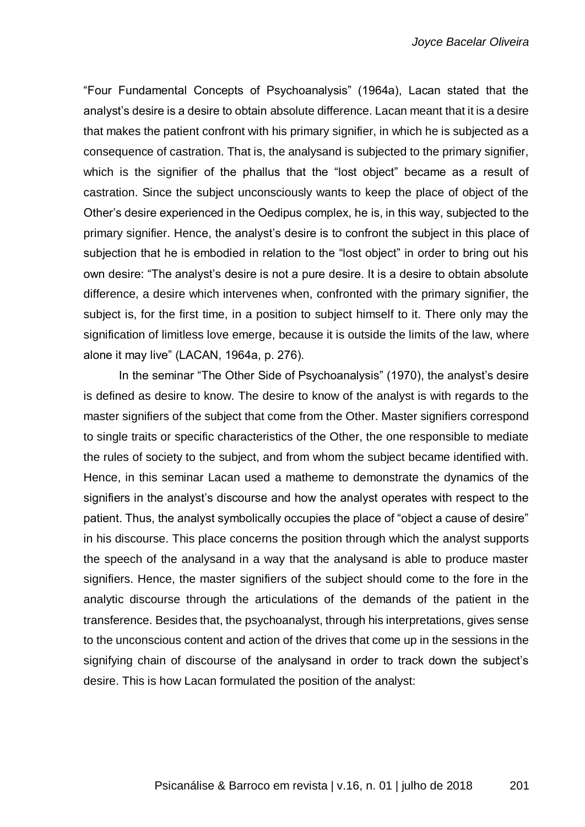"Four Fundamental Concepts of Psychoanalysis" (1964a), Lacan stated that the analyst's desire is a desire to obtain absolute difference. Lacan meant that it is a desire that makes the patient confront with his primary signifier, in which he is subjected as a consequence of castration. That is, the analysand is subjected to the primary signifier, which is the signifier of the phallus that the "lost object" became as a result of castration. Since the subject unconsciously wants to keep the place of object of the Other's desire experienced in the Oedipus complex, he is, in this way, subjected to the primary signifier. Hence, the analyst's desire is to confront the subject in this place of subjection that he is embodied in relation to the "lost object" in order to bring out his own desire: "The analyst's desire is not a pure desire. It is a desire to obtain absolute difference, a desire which intervenes when, confronted with the primary signifier, the subject is, for the first time, in a position to subject himself to it. There only may the signification of limitless love emerge, because it is outside the limits of the law, where alone it may live" (LACAN, 1964a, p. 276).

In the seminar "The Other Side of Psychoanalysis" (1970), the analyst's desire is defined as desire to know. The desire to know of the analyst is with regards to the master signifiers of the subject that come from the Other. Master signifiers correspond to single traits or specific characteristics of the Other, the one responsible to mediate the rules of society to the subject, and from whom the subject became identified with. Hence, in this seminar Lacan used a matheme to demonstrate the dynamics of the signifiers in the analyst's discourse and how the analyst operates with respect to the patient. Thus, the analyst symbolically occupies the place of "object a cause of desire" in his discourse. This place concerns the position through which the analyst supports the speech of the analysand in a way that the analysand is able to produce master signifiers. Hence, the master signifiers of the subject should come to the fore in the analytic discourse through the articulations of the demands of the patient in the transference. Besides that, the psychoanalyst, through his interpretations, gives sense to the unconscious content and action of the drives that come up in the sessions in the signifying chain of discourse of the analysand in order to track down the subject's desire. This is how Lacan formulated the position of the analyst: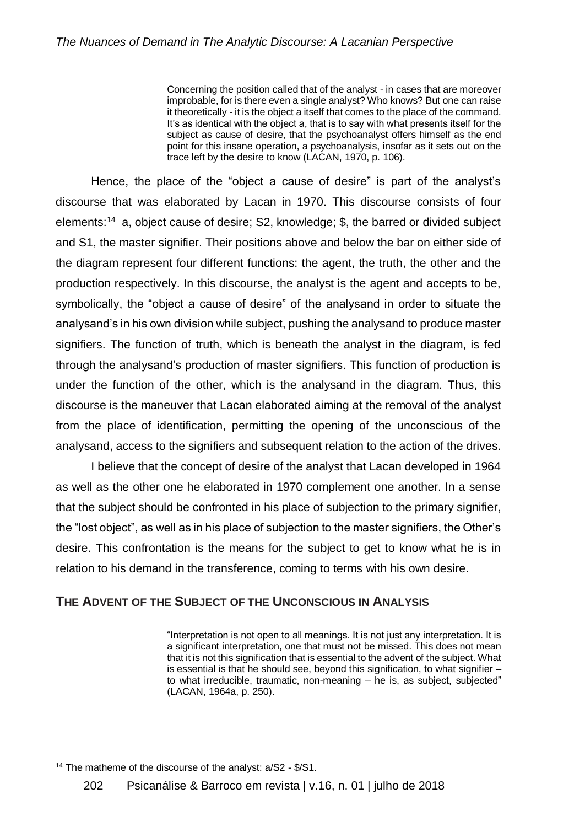Concerning the position called that of the analyst - in cases that are moreover improbable, for is there even a single analyst? Who knows? But one can raise it theoretically - it is the object a itself that comes to the place of the command. It's as identical with the object a, that is to say with what presents itself for the subject as cause of desire, that the psychoanalyst offers himself as the end point for this insane operation, a psychoanalysis, insofar as it sets out on the trace left by the desire to know (LACAN, 1970, p. 106).

Hence, the place of the "object a cause of desire" is part of the analyst's discourse that was elaborated by Lacan in 1970. This discourse consists of four elements:<sup>14</sup> a, object cause of desire; S2, knowledge; \$, the barred or divided subject and S1, the master signifier. Their positions above and below the bar on either side of the diagram represent four different functions: the agent, the truth, the other and the production respectively. In this discourse, the analyst is the agent and accepts to be, symbolically, the "object a cause of desire" of the analysand in order to situate the analysand's in his own division while subject, pushing the analysand to produce master signifiers. The function of truth, which is beneath the analyst in the diagram, is fed through the analysand's production of master signifiers. This function of production is under the function of the other, which is the analysand in the diagram. Thus, this discourse is the maneuver that Lacan elaborated aiming at the removal of the analyst from the place of identification, permitting the opening of the unconscious of the analysand, access to the signifiers and subsequent relation to the action of the drives.

I believe that the concept of desire of the analyst that Lacan developed in 1964 as well as the other one he elaborated in 1970 complement one another. In a sense that the subject should be confronted in his place of subjection to the primary signifier, the "lost object", as well as in his place of subjection to the master signifiers, the Other's desire. This confrontation is the means for the subject to get to know what he is in relation to his demand in the transference, coming to terms with his own desire.

# **THE ADVENT OF THE SUBJECT OF THE UNCONSCIOUS IN ANALYSIS**

"Interpretation is not open to all meanings. It is not just any interpretation. It is a significant interpretation, one that must not be missed. This does not mean that it is not this signification that is essential to the advent of the subject. What is essential is that he should see, beyond this signification, to what signifier – to what irreducible, traumatic, non-meaning – he is, as subject, subjected" (LACAN, 1964a, p. 250).

l <sup>14</sup> The matheme of the discourse of the analyst: a/S2 - \$/S1.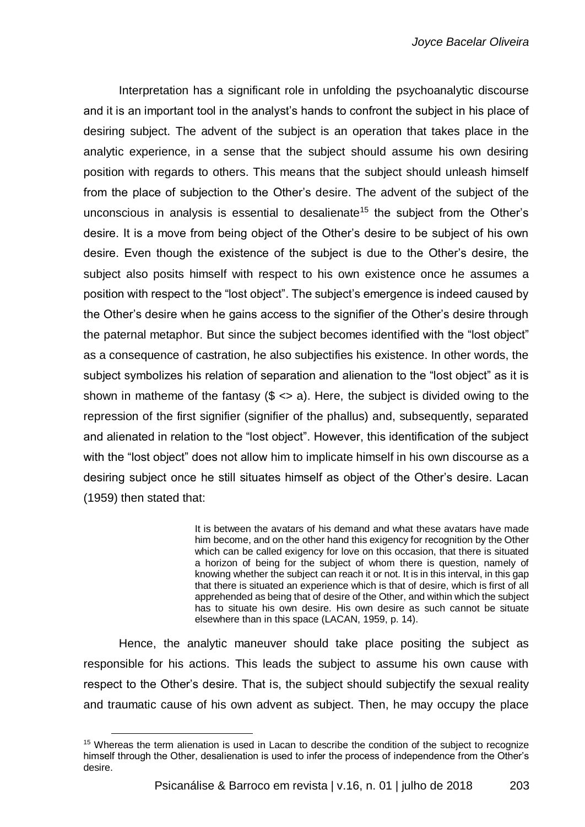Interpretation has a significant role in unfolding the psychoanalytic discourse and it is an important tool in the analyst's hands to confront the subject in his place of desiring subject. The advent of the subject is an operation that takes place in the analytic experience, in a sense that the subject should assume his own desiring position with regards to others. This means that the subject should unleash himself from the place of subjection to the Other's desire. The advent of the subject of the unconscious in analysis is essential to desalienate<sup>15</sup> the subject from the Other's desire. It is a move from being object of the Other's desire to be subject of his own desire. Even though the existence of the subject is due to the Other's desire, the subject also posits himself with respect to his own existence once he assumes a position with respect to the "lost object". The subject's emergence is indeed caused by the Other's desire when he gains access to the signifier of the Other's desire through the paternal metaphor. But since the subject becomes identified with the "lost object" as a consequence of castration, he also subjectifies his existence. In other words, the subject symbolizes his relation of separation and alienation to the "lost object" as it is shown in matheme of the fantasy  $(\frac{6}{5}$  <> a). Here, the subject is divided owing to the repression of the first signifier (signifier of the phallus) and, subsequently, separated and alienated in relation to the "lost object". However, this identification of the subject with the "lost object" does not allow him to implicate himself in his own discourse as a desiring subject once he still situates himself as object of the Other's desire. Lacan (1959) then stated that:

> It is between the avatars of his demand and what these avatars have made him become, and on the other hand this exigency for recognition by the Other which can be called exigency for love on this occasion, that there is situated a horizon of being for the subject of whom there is question, namely of knowing whether the subject can reach it or not. It is in this interval, in this gap that there is situated an experience which is that of desire, which is first of all apprehended as being that of desire of the Other, and within which the subject has to situate his own desire. His own desire as such cannot be situate elsewhere than in this space (LACAN, 1959, p. 14).

Hence, the analytic maneuver should take place positing the subject as responsible for his actions. This leads the subject to assume his own cause with respect to the Other's desire. That is, the subject should subjectify the sexual reality and traumatic cause of his own advent as subject. Then, he may occupy the place

l <sup>15</sup> Whereas the term alienation is used in Lacan to describe the condition of the subject to recognize himself through the Other, desalienation is used to infer the process of independence from the Other's desire.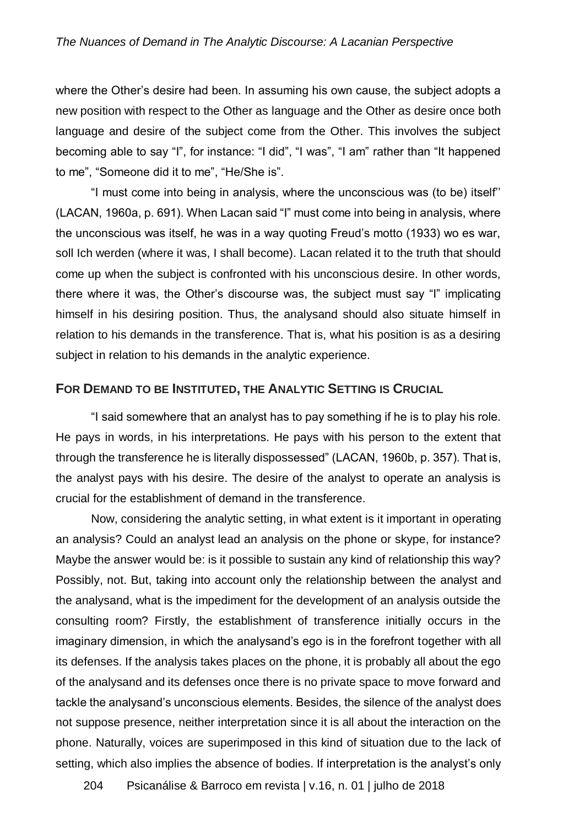where the Other's desire had been. In assuming his own cause, the subject adopts a new position with respect to the Other as language and the Other as desire once both language and desire of the subject come from the Other. This involves the subject becoming able to say "I", for instance: "I did", "I was", "I am" rather than "It happened to me", "Someone did it to me", "He/She is".

"I must come into being in analysis, where the unconscious was (to be) itself'' (LACAN, 1960a, p. 691). When Lacan said "I" must come into being in analysis, where the unconscious was itself, he was in a way quoting Freud's motto (1933) wo es war, soll Ich werden (where it was, I shall become). Lacan related it to the truth that should come up when the subject is confronted with his unconscious desire. In other words, there where it was, the Other's discourse was, the subject must say "I" implicating himself in his desiring position. Thus, the analysand should also situate himself in relation to his demands in the transference. That is, what his position is as a desiring subject in relation to his demands in the analytic experience.

#### **FOR DEMAND TO BE INSTITUTED, THE ANALYTIC SETTING IS CRUCIAL**

"I said somewhere that an analyst has to pay something if he is to play his role. He pays in words, in his interpretations. He pays with his person to the extent that through the transference he is literally dispossessed" (LACAN, 1960b, p. 357). That is, the analyst pays with his desire. The desire of the analyst to operate an analysis is crucial for the establishment of demand in the transference.

Now, considering the analytic setting, in what extent is it important in operating an analysis? Could an analyst lead an analysis on the phone or skype, for instance? Maybe the answer would be: is it possible to sustain any kind of relationship this way? Possibly, not. But, taking into account only the relationship between the analyst and the analysand, what is the impediment for the development of an analysis outside the consulting room? Firstly, the establishment of transference initially occurs in the imaginary dimension, in which the analysand's ego is in the forefront together with all its defenses. If the analysis takes places on the phone, it is probably all about the ego of the analysand and its defenses once there is no private space to move forward and tackle the analysand's unconscious elements. Besides, the silence of the analyst does not suppose presence, neither interpretation since it is all about the interaction on the phone. Naturally, voices are superimposed in this kind of situation due to the lack of setting, which also implies the absence of bodies. If interpretation is the analyst's only

204 Psicanálise & Barroco em revista | v.16, n. 01 | julho de 2018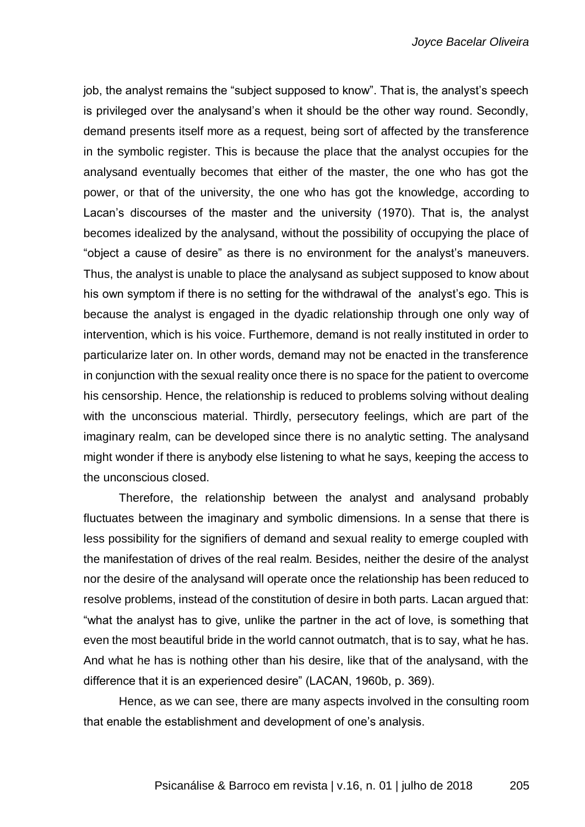job, the analyst remains the "subject supposed to know". That is, the analyst's speech is privileged over the analysand's when it should be the other way round. Secondly, demand presents itself more as a request, being sort of affected by the transference in the symbolic register. This is because the place that the analyst occupies for the analysand eventually becomes that either of the master, the one who has got the power, or that of the university, the one who has got the knowledge, according to Lacan's discourses of the master and the university (1970). That is, the analyst becomes idealized by the analysand, without the possibility of occupying the place of "object a cause of desire" as there is no environment for the analyst's maneuvers. Thus, the analyst is unable to place the analysand as subject supposed to know about his own symptom if there is no setting for the withdrawal of the analyst's ego. This is because the analyst is engaged in the dyadic relationship through one only way of intervention, which is his voice. Furthemore, demand is not really instituted in order to particularize later on. In other words, demand may not be enacted in the transference in conjunction with the sexual reality once there is no space for the patient to overcome his censorship. Hence, the relationship is reduced to problems solving without dealing with the unconscious material. Thirdly, persecutory feelings, which are part of the imaginary realm, can be developed since there is no analytic setting. The analysand might wonder if there is anybody else listening to what he says, keeping the access to the unconscious closed.

Therefore, the relationship between the analyst and analysand probably fluctuates between the imaginary and symbolic dimensions. In a sense that there is less possibility for the signifiers of demand and sexual reality to emerge coupled with the manifestation of drives of the real realm. Besides, neither the desire of the analyst nor the desire of the analysand will operate once the relationship has been reduced to resolve problems, instead of the constitution of desire in both parts. Lacan argued that: "what the analyst has to give, unlike the partner in the act of love, is something that even the most beautiful bride in the world cannot outmatch, that is to say, what he has. And what he has is nothing other than his desire, like that of the analysand, with the difference that it is an experienced desire" (LACAN, 1960b, p. 369).

Hence, as we can see, there are many aspects involved in the consulting room that enable the establishment and development of one's analysis.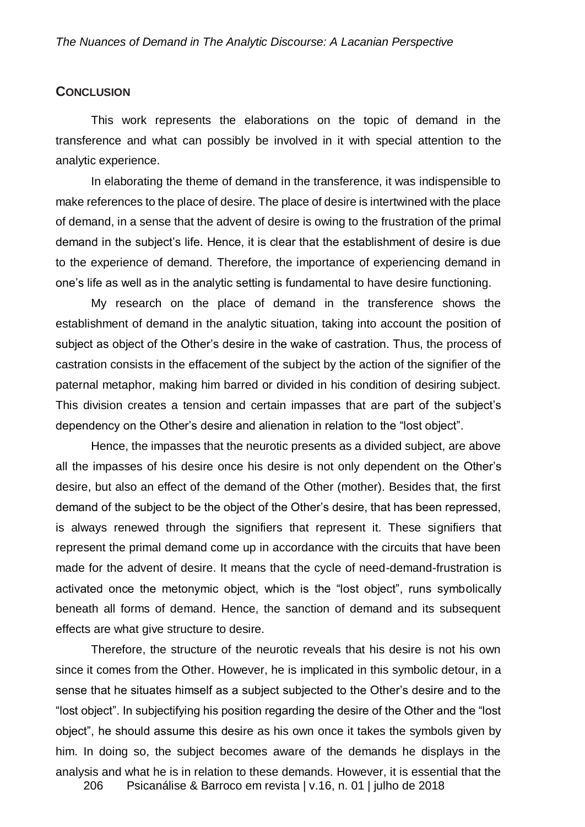#### **CONCLUSION**

This work represents the elaborations on the topic of demand in the transference and what can possibly be involved in it with special attention to the analytic experience.

In elaborating the theme of demand in the transference, it was indispensible to make references to the place of desire. The place of desire is intertwined with the place of demand, in a sense that the advent of desire is owing to the frustration of the primal demand in the subject's life. Hence, it is clear that the establishment of desire is due to the experience of demand. Therefore, the importance of experiencing demand in one's life as well as in the analytic setting is fundamental to have desire functioning.

My research on the place of demand in the transference shows the establishment of demand in the analytic situation, taking into account the position of subject as object of the Other's desire in the wake of castration. Thus, the process of castration consists in the effacement of the subject by the action of the signifier of the paternal metaphor, making him barred or divided in his condition of desiring subject. This division creates a tension and certain impasses that are part of the subject's dependency on the Other's desire and alienation in relation to the "lost object".

Hence, the impasses that the neurotic presents as a divided subject, are above all the impasses of his desire once his desire is not only dependent on the Other's desire, but also an effect of the demand of the Other (mother). Besides that, the first demand of the subject to be the object of the Other's desire, that has been repressed, is always renewed through the signifiers that represent it. These signifiers that represent the primal demand come up in accordance with the circuits that have been made for the advent of desire. It means that the cycle of need-demand-frustration is activated once the metonymic object, which is the "lost object", runs symbolically beneath all forms of demand. Hence, the sanction of demand and its subsequent effects are what give structure to desire.

Therefore, the structure of the neurotic reveals that his desire is not his own since it comes from the Other. However, he is implicated in this symbolic detour, in a sense that he situates himself as a subject subjected to the Other's desire and to the "lost object". In subjectifying his position regarding the desire of the Other and the "lost object", he should assume this desire as his own once it takes the symbols given by him. In doing so, the subject becomes aware of the demands he displays in the analysis and what he is in relation to these demands. However, it is essential that the

206 Psicanálise & Barroco em revista | v.16, n. 01 | julho de 2018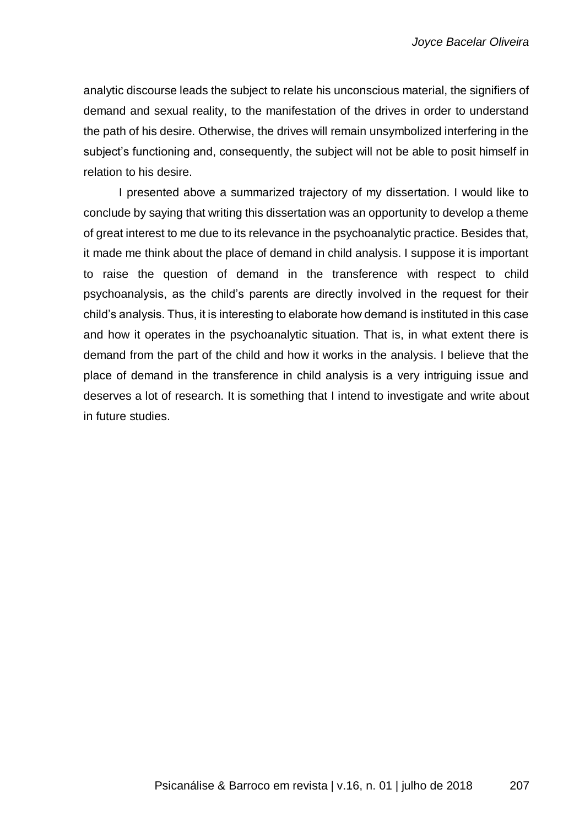analytic discourse leads the subject to relate his unconscious material, the signifiers of demand and sexual reality, to the manifestation of the drives in order to understand the path of his desire. Otherwise, the drives will remain unsymbolized interfering in the subject's functioning and, consequently, the subject will not be able to posit himself in relation to his desire.

I presented above a summarized trajectory of my dissertation. I would like to conclude by saying that writing this dissertation was an opportunity to develop a theme of great interest to me due to its relevance in the psychoanalytic practice. Besides that, it made me think about the place of demand in child analysis. I suppose it is important to raise the question of demand in the transference with respect to child psychoanalysis, as the child's parents are directly involved in the request for their child's analysis. Thus, it is interesting to elaborate how demand is instituted in this case and how it operates in the psychoanalytic situation. That is, in what extent there is demand from the part of the child and how it works in the analysis. I believe that the place of demand in the transference in child analysis is a very intriguing issue and deserves a lot of research. It is something that I intend to investigate and write about in future studies.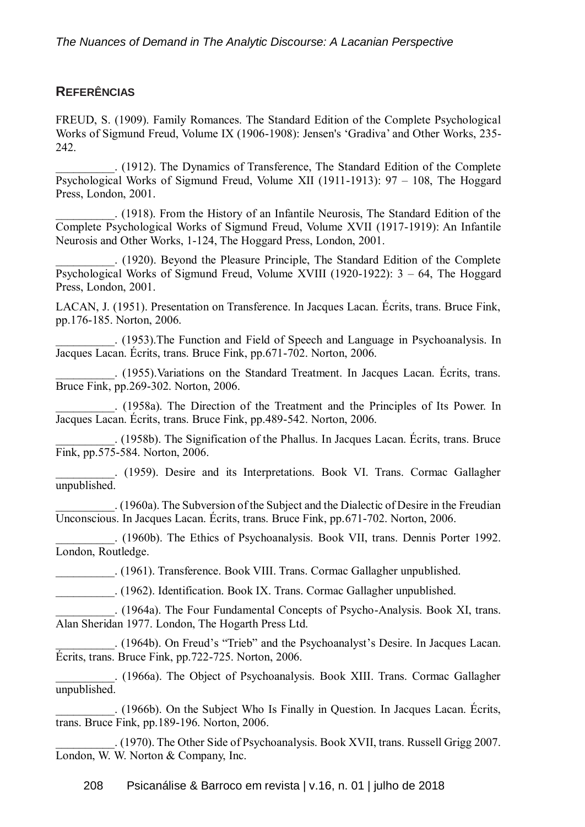# **REFERÊNCIAS**

FREUD, S. (1909). Family Romances. The Standard Edition of the Complete Psychological Works of Sigmund Freud, Volume IX (1906-1908): Jensen's 'Gradiva' and Other Works, 235- 242.

\_\_\_\_\_\_\_\_\_\_. (1912). The Dynamics of Transference, The Standard Edition of the Complete Psychological Works of Sigmund Freud, Volume XII (1911-1913): 97 – 108, The Hoggard Press, London, 2001.

\_\_\_\_\_\_\_\_\_\_. (1918). From the History of an Infantile Neurosis, The Standard Edition of the Complete Psychological Works of Sigmund Freud, Volume XVII (1917-1919): An Infantile Neurosis and Other Works, 1-124, The Hoggard Press, London, 2001.

\_\_\_\_\_\_\_\_\_\_. (1920). Beyond the Pleasure Principle, The Standard Edition of the Complete Psychological Works of Sigmund Freud, Volume XVIII (1920-1922): 3 – 64, The Hoggard Press, London, 2001.

LACAN, J. (1951). Presentation on Transference. In Jacques Lacan. Écrits, trans. Bruce Fink, pp.176-185. Norton, 2006.

\_\_\_\_\_\_\_\_\_\_. (1953).The Function and Field of Speech and Language in Psychoanalysis. In Jacques Lacan. Écrits, trans. Bruce Fink, pp.671-702. Norton, 2006.

\_\_\_\_\_\_\_\_\_\_. (1955).Variations on the Standard Treatment. In Jacques Lacan. Écrits, trans. Bruce Fink, pp.269-302. Norton, 2006.

\_\_\_\_\_\_\_\_\_\_. (1958a). The Direction of the Treatment and the Principles of Its Power. In Jacques Lacan. Écrits, trans. Bruce Fink, pp.489-542. Norton, 2006.

\_\_\_\_\_\_\_\_\_\_. (1958b). The Signification of the Phallus. In Jacques Lacan. Écrits, trans. Bruce Fink, pp.575-584. Norton, 2006.

\_\_\_\_\_\_\_\_\_\_. (1959). Desire and its Interpretations. Book VI. Trans. Cormac Gallagher unpublished.

\_\_\_\_\_\_\_\_\_\_. (1960a). The Subversion of the Subject and the Dialectic of Desire in the Freudian Unconscious. In Jacques Lacan. Écrits, trans. Bruce Fink, pp.671-702. Norton, 2006.

\_\_\_\_\_\_\_\_\_\_. (1960b). The Ethics of Psychoanalysis. Book VII, trans. Dennis Porter 1992. London, Routledge.

\_\_\_\_\_\_\_\_\_\_. (1961). Transference. Book VIII. Trans. Cormac Gallagher unpublished.

\_\_\_\_\_\_\_\_\_\_. (1962). Identification. Book IX. Trans. Cormac Gallagher unpublished.

\_\_\_\_\_\_\_\_\_\_. (1964a). The Four Fundamental Concepts of Psycho-Analysis. Book XI, trans. Alan Sheridan 1977. London, The Hogarth Press Ltd.

\_\_\_\_\_\_\_\_\_\_. (1964b). On Freud's "Trieb" and the Psychoanalyst's Desire. In Jacques Lacan. Écrits, trans. Bruce Fink, pp.722-725. Norton, 2006.

\_\_\_\_\_\_\_\_\_\_. (1966a). The Object of Psychoanalysis. Book XIII. Trans. Cormac Gallagher unpublished.

\_\_\_\_\_\_\_\_\_\_. (1966b). On the Subject Who Is Finally in Question. In Jacques Lacan. Écrits, trans. Bruce Fink, pp.189-196. Norton, 2006.

\_\_\_\_\_\_\_\_\_\_. (1970). The Other Side of Psychoanalysis. Book XVII, trans. Russell Grigg 2007. London, W. W. Norton & Company, Inc.

208 Psicanálise & Barroco em revista | v.16, n. 01 | julho de 2018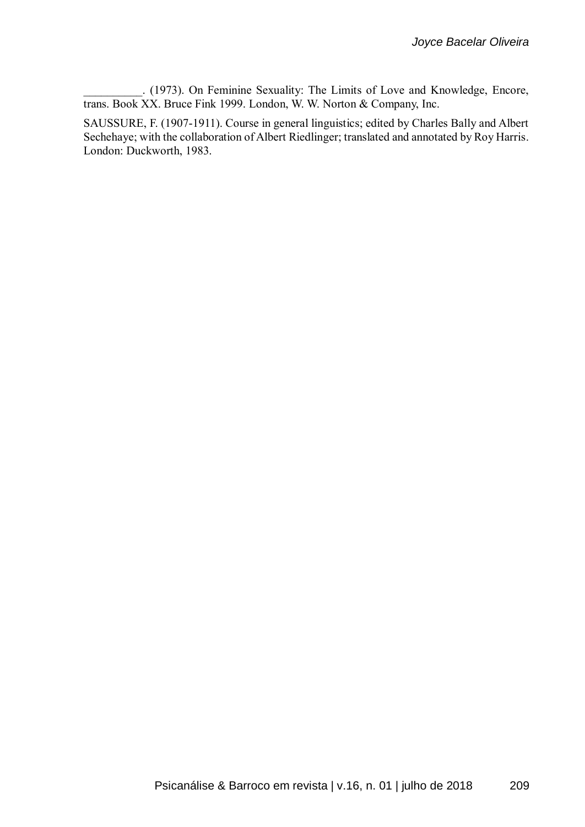\_\_\_\_\_\_\_\_\_\_. (1973). On Feminine Sexuality: The Limits of Love and Knowledge, Encore, trans. Book XX. Bruce Fink 1999. London, W. W. Norton & Company, Inc.

SAUSSURE, F. (1907-1911). Course in general linguistics; edited by Charles Bally and Albert Sechehaye; with the collaboration of Albert Riedlinger; translated and annotated by Roy Harris. London: Duckworth, 1983.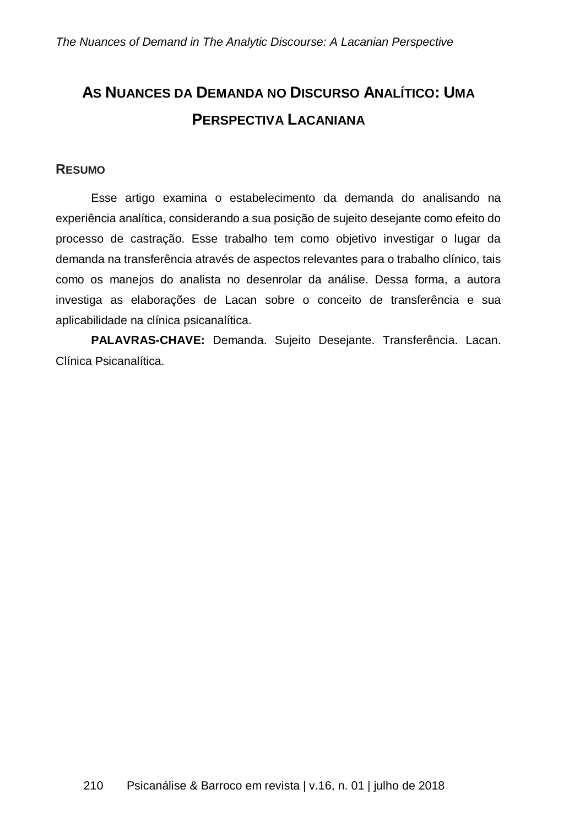# **AS NUANCES DA DEMANDA NO DISCURSO ANALÍTICO: UMA PERSPECTIVA LACANIANA**

### **RESUMO**

Esse artigo examina o estabelecimento da demanda do analisando na experiência analítica, considerando a sua posição de sujeito desejante como efeito do processo de castração. Esse trabalho tem como objetivo investigar o lugar da demanda na transferência através de aspectos relevantes para o trabalho clínico, tais como os manejos do analista no desenrolar da análise. Dessa forma, a autora investiga as elaborações de Lacan sobre o conceito de transferência e sua aplicabilidade na clínica psicanalítica.

**PALAVRAS-CHAVE:** Demanda. Sujeito Desejante. Transferência. Lacan. Clínica Psicanalítica.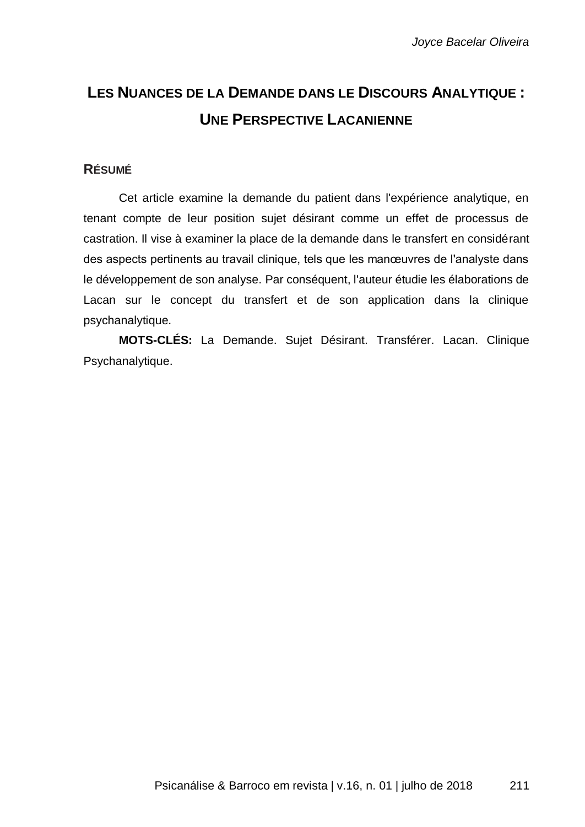# **LES NUANCES DE LA DEMANDE DANS LE DISCOURS ANALYTIQUE : UNE PERSPECTIVE LACANIENNE**

# **RÉSUMÉ**

Cet article examine la demande du patient dans l'expérience analytique, en tenant compte de leur position sujet désirant comme un effet de processus de castration. Il vise à examiner la place de la demande dans le transfert en considérant des aspects pertinents au travail clinique, tels que les manœuvres de l'analyste dans le développement de son analyse. Par conséquent, l'auteur étudie les élaborations de Lacan sur le concept du transfert et de son application dans la clinique psychanalytique.

**MOTS-CLÉS:** La Demande. Sujet Désirant. Transférer. Lacan. Clinique Psychanalytique.